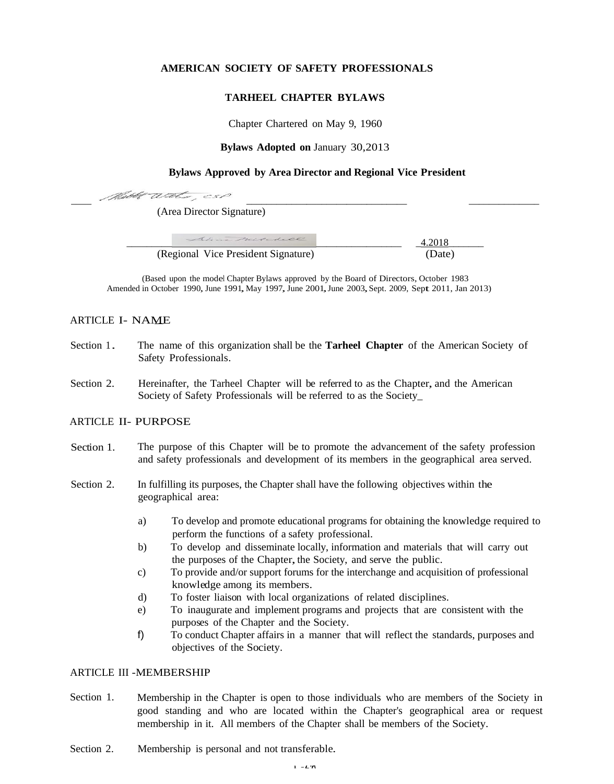# **AMERICAN SOCIETY OF SAFETY PROFESSIONALS**

## **TARHEEL CHAPTER BYLAWS**

Chapter Chartered on May 9, 1960

**Bylaws Adopted on** January 30,2013

### **Bylaws Approved by Area Director and Regional Vice President**

(Area Director Signature)

Mathe With 5

| Alina Milchell                      | 4.2018 |
|-------------------------------------|--------|
| (Regional Vice President Signature) | (Date) |

(Based upon the model Chapter Bylaws approved by the Board of Directors, October 1983 Amended in October 1990, June 1991, May 1997, June 2001, June 2003, Sept. 2009, Sept 2011, Jan 2013)

## ARTICLE I- NAME

- Section 1. The name of this organization shall be the **Tarheel Chapter** of the American Society of Safety Professionals.
- Section 2. Hereinafter, the Tarheel Chapter will be referred to as the Chapter, and the American Society of Safety Professionals will be referred to as the Society\_

# ARTICLE II- PURPOSE

- Section 1. The purpose of this Chapter will be to promote the advancement of the safety profession and safety professionals and development of its members in the geographical area served.
- Section 2. In fulfilling its purposes, the Chapter shall have the following objectives within the geographical area:
	- a) To develop and promote educational programs for obtaining the knowledge required to perform the functions of a safety professional.
	- b) To develop and disseminate locally, information and materials that will carry out the purposes of the Chapter, the Society, and serve the public.
	- c) To provide and/or support forums for the interchange and acquisition of professional knowledge among its members.
	- d) To foster liaison with local organizations of related disciplines.
	- e) To inaugurate and implement programs and projects that are consistent with the purposes of the Chapter and the Society.
	- f) To conduct Chapter affairs in a manner that will reflect the standards, purposes and objectives of the Society.

# ARTICLE III -MEMBERSHIP

- Section 1. Membership in the Chapter is open to those individuals who are members of the Society in good standing and who are located within the Chapter's geographical area or request membership in it. All members of the Chapter shall be members of the Society.
- Section 2. Membership is personal and not transferable.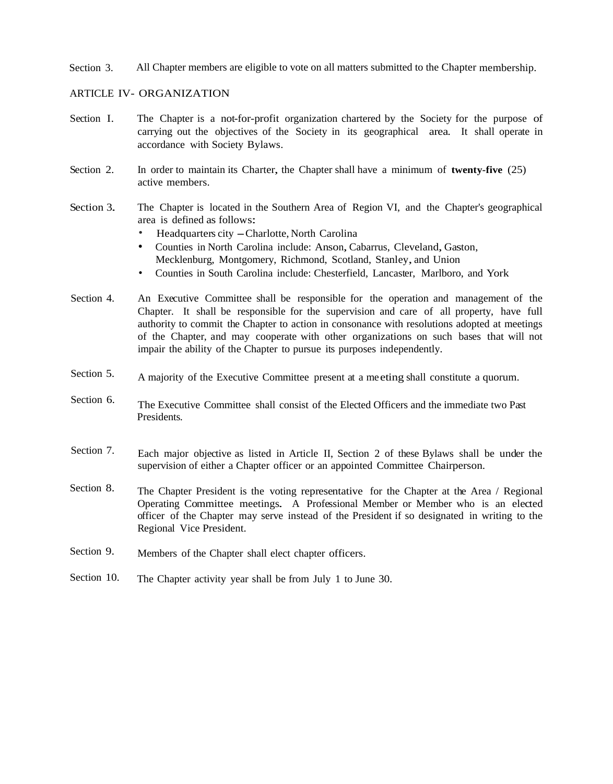Section 3. All Chapter members are eligible to vote on all matters submitted to the Chapter membership.

#### ARTICLE IV- ORGANIZATION

- Section I. The Chapter is a not-for-profit organization chartered by the Society for the purpose of carrying out the objectives of the Society in its geographical area. It shall operate in accordance with Society Bylaws.
- Section 2. In order to maintain its Charter, the Chapter shall have a minimum of **twenty-five** (25) active members.
- Section 3 The Chapter is located in the Southern Area of Region VI, and the Chapter's geographical area is defined as follows:
	- Headquarters city -Charlotte, North Carolina
	- Counties in North Carolina include: Anson,Cabarrus, Cleveland, Gaston, Mecklenburg, Montgomery, Richmond, Scotland, Stanley, and Union
	- Counties in South Carolina include: Chesterfield, Lancaster, Marlboro, and York
- Section 4. An Executive Committee shall be responsible for the operation and management of the Chapter. It shall be responsible for the supervision and care of all property, have full authority to commit the Chapter to action in consonance with resolutions adopted at meetings of the Chapter, and may cooperate with other organizations on such bases that will not impair the ability of the Chapter to pursue its purposes independently.
- Section 5. A majority of the Executive Committee present at a me eting shall constitute a quorum.
- Section 6. The Executive Committee shall consist of the Elected Officers and the immediate two Past Presidents.
- Section 7. Each major objective as listed in Article II, Section 2 of these Bylaws shall be under the supervision of either a Chapter officer or an appointed Committee Chairperson.
- Section 8. The Chapter President is the voting representative for the Chapter at the Area / Regional Operating Committee meetings. A Professional Member or Member who is an elected officer of the Chapter may serve instead of the President if so designated in writing to the Regional Vice President.
- Section 9. Members of the Chapter shall elect chapter officers.
- Section 10. The Chapter activity year shall be from July 1 to June 30.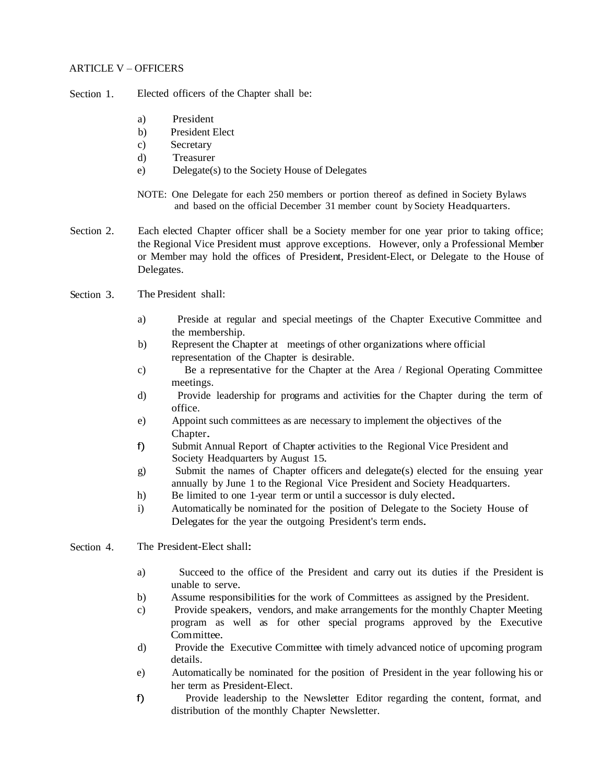#### ARTICLE V – OFFICERS

Section 1. Elected officers of the Chapter shall be:

- a) President
- b) President Elect
- c) Secretary
- d) Treasurer
- e) Delegate(s) to the Society House of Delegates
- NOTE: One Delegate for each 250 members or portion thereof as defined in Society Bylaws and based on the official December 31 member count by Society Headquarters.
- Section 2. Each elected Chapter officer shall be a Society member for one year prior to taking office; the Regional Vice President must approve exceptions. However, only a Professional Member or Member may hold the offices of President, President-Elect, or Delegate to the House of Delegates.
- Section 3 The President shall:
	- a) Preside at regular and special meetings of the Chapter Executive Committee and the membership.
	- b) Represent the Chapter at meetings of other organizations where official representation of the Chapter is desirable.
	- c) Be a representative for the Chapter at the Area / Regional Operating Committee meetings.
	- d) Provide leadership for programs and activities for the Chapter during the term of office.
	- e) Appoint such committees as are necessary to implement the objectives of the Chapter.
	- f) Submit Annual Report of Chapter activities to the Regional Vice President and Society Headquarters by August 15.
	- g) Submit the names of Chapter officers and delegate(s) elected for the ensuing year annually by June 1 to the Regional Vice President and Society Headquarters.
	- h) Be limited to one 1-year term or until a successor is duly elected.
	- i) Automatically be nominated for the position of Delegate to the Society House of Delegates for the year the outgoing President's term ends.
- Section 4. The President-Elect shall:
	- a) Succeed to the office of the President and carry out its duties if the President is unable to serve.
	- b) Assume responsibilities for the work of Committees as assigned by the President.
	- c) Provide speakers, vendors, and make arrangements for the monthly Chapter Meeting program as well as for other special programs approved by the Executive Committee.
	- d) Provide the Executive Committee with timely advanced notice of upcoming program details.
	- e) Automatically be nominated for the position of President in the year following his or her term as President-Elect.
	- f) Provide leadership to the Newsletter Editor regarding the content, format, and distribution of the monthly Chapter Newsletter.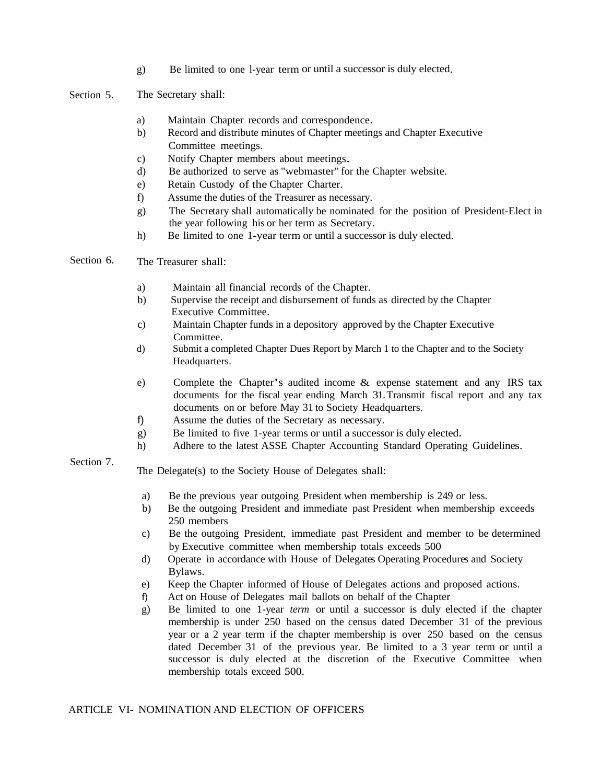g) Be limited to one l-year term or until a successor is duly elected.

Section 5 The Secretary shall:

- a) Maintain Chapter records and correspondence.
- b) Record and distribute minutes of Chapter meetings and Chapter Executive Committee meetings.
- c) Notify Chapter members about meetings.
- d) Be authorized to serve as "webmaster" for the Chapter website.
- e) Retain Custody of the Chapter Charter.
- f) Assume the duties of the Treasurer as necessary.
- g) The Secretary shall automatically be nominated for the position of President-Elect in the year following his or her term as Secretary.
- h) Be limited to one 1-year term or until a successor is duly elected.

Section 6. The Treasurer shall:

- a) Maintain all financial records of the Chapter.
- b) Supervise the receipt and disbursement of funds as directed by the Chapter Executive Committee.
- c) Maintain Chapter funds in a depository approved by the Chapter Executive Committee.
- d) Submit a completed Chapter Dues Report by March 1 to the Chapter and to the Society Headquarters.
- e) Complete the Chapter's audited income & expense statement and any IRS tax documents for the fiscal year ending March 31. Transmit fiscal report and any tax documents on or before May 31 to Society Headquarters.
- f) Assume the duties of the Secretary as necessary.
- g) Be limited to five 1-year terms or until a successor is duly elected.
- h) Adhere to the latest ASSE Chapter Accounting Standard Operating Guidelines.

### Section 7.

The Delegate(s) to the Society House of Delegates shall:

- a) Be the previous year outgoing President when membership is 249 or less.
- b) Be the outgoing President and immediate past President when membership exceeds 250 members
- c) Be the outgoing President, immediate past President and member to be determined by Executive committee when membership totals exceeds 500
- d) Operate in accordance with House of Delegates Operating Procedures and Society Bylaws.
- e) Keep the Chapter informed of House of Delegates actions and proposed actions.
- f) Act on House of Delegates mail ballots on behalf of the Chapter
- g) Be limited to one 1-year *term* or until a successor is duly elected if the chapter membership is under 250 based on the census dated December 31 of the previous year or a 2 year term if the chapter membership is over 250 based on the census dated December 31 of the previous year. Be limited to a 3 year term or until a successor is duly elected at the discretion of the Executive Committee when membership totals exceed 500.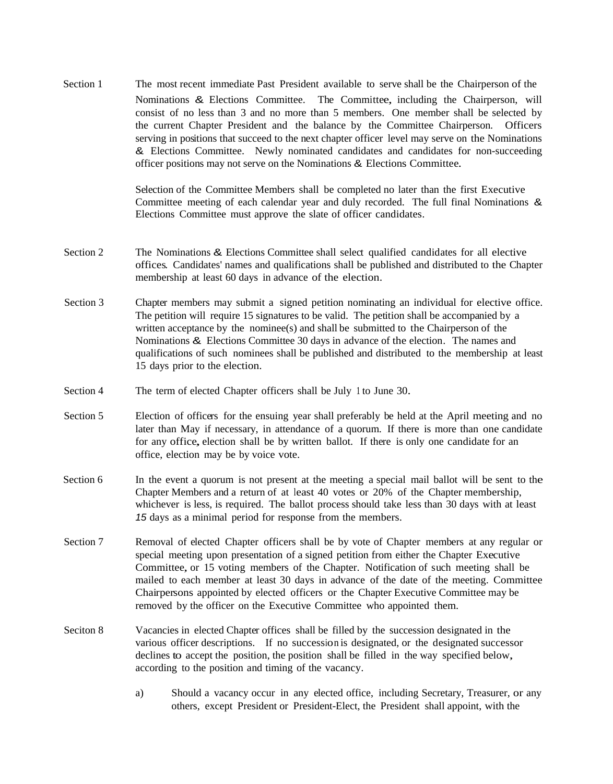Section 1 The most recent immediate Past President available to serve shall be the Chairperson of the Nominations & Elections Committee. The Committee, including the Chairperson, will consist of no less than 3 and no more than 5 members. One member shall be selected by the current Chapter President and the balance by the Committee Chairperson. Officers serving in positions that succeed to the next chapter officer level may serve on the Nominations & Elections Committee. Newly nominated candidates and candidates for non-succeeding officer positions may not serve on the Nominations & Elections Committee.

> Selection of the Committee Members shall be completed no later than the first Executive Committee meeting of each calendar year and duly recorded. The full final Nominations & Elections Committee must approve the slate of officer candidates.

- Section 2 The Nominations & Elections Committee shall select qualified candidates for all elective offices. Candidates' names and qualifications shall be published and distributed to the Chapter membership at least 60 days in advance of the election.
- Section 3 Chapter members may submit a signed petition nominating an individual for elective office. The petition will require 15 signatures to be valid. The petition shall be accompanied by a written acceptance by the nominee(s) and shall be submitted to the Chairperson of the Nominations & Elections Committee 30 days in advance of the election. The names and qualifications of such nominees shall be published and distributed to the membership at least 15 days prior to the election.
- Section 4 The term of elected Chapter officers shall be July 1 to June 30.
- Section 5 Election of officers for the ensuing year shall preferably be held at the April meeting and no later than May if necessary, in attendance of a quorum. If there is more than one candidate for any office, election shall be by written ballot. If there is only one candidate for an office, election may be by voice vote.
- Section 6 In the event a quorum is not present at the meeting a special mail ballot will be sent to the Chapter Members and a return of at least 40 votes or 20% of the Chapter membership, whichever is less, is required. The ballot process should take less than 30 days with at least *15* days as a minimal period for response from the members.
- Section 7 Removal of elected Chapter officers shall be by vote of Chapter members at any regular or special meeting upon presentation of a signed petition from either the Chapter Executive Committee, or <sup>15</sup> voting members of the Chapter. Notification of such meeting shall be mailed to each member at least 30 days in advance of the date of the meeting. Committee Chairpersons appointed by elected officers or the Chapter Executive Committee may be removed by the officer on the Executive Committee who appointed them.
- Seciton 8 Vacancies in elected Chapter offices shall be filled by the succession designated in the various officer descriptions. If no succession is designated, or the designated successor declines to accept the position, the position shall be filled in the way specified below, according to the position and timing of the vacancy.
	- a) Should a vacancy occur in any elected office, including Secretary, Treasurer, or any others, except President or President-Elect, the President shall appoint, with the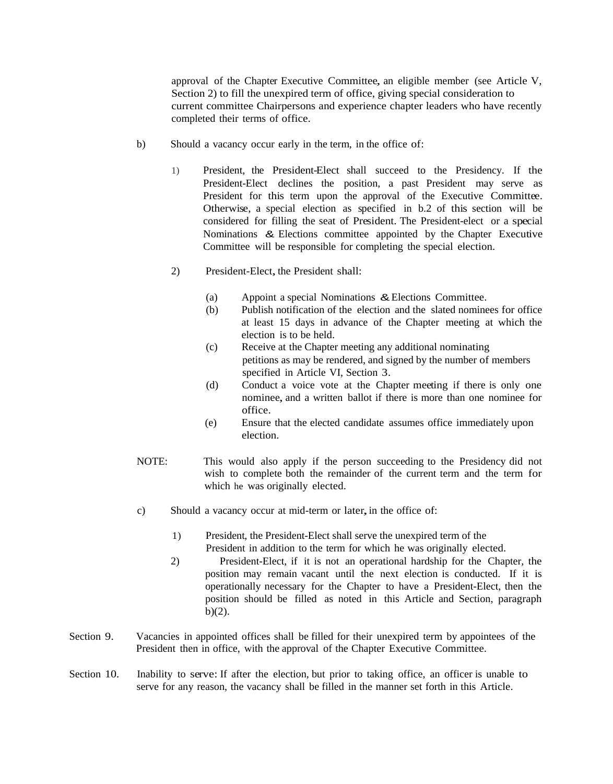approval of the Chapter Executive Committee, an eligible member (see Article V, Section 2) to fill the unexpired term of office, giving special consideration to current committee Chairpersons and experience chapter leaders who have recently completed their terms of office.

- b) Should a vacancy occur early in the term, in the office of:
	- 1) President, the President-Elect shall succeed to the Presidency. If the President-Elect declines the position, a past President may serve as President for this term upon the approval of the Executive Committee. Otherwise, a special election as specified in b.2 of this section will be considered for filling the seat of President. The President-elect or a special Nominations & Elections committee appointed by the Chapter Executive Committee will be responsible for completing the special election.
	- 2) President-Elect, the President shall:
		- (a) Appoint a special Nominations &Elections Committee.
		- (b) Publish notification of the election and the slated nominees for office at least 15 days in advance of the Chapter meeting at which the election is to be held.
		- (c) Receive at the Chapter meeting any additional nominating petitions as may be rendered, and signed by the number of members specified in Article VI, Section 3.
		- (d) Conduct a voice vote at the Chapter meeting if there is only one nominee, and <sup>a</sup> written ballot if there is more than one nominee for office.
		- (e) Ensure that the elected candidate assumes office immediately upon election.
- NOTE: This would also apply if the person succeeding to the Presidency did not wish to complete both the remainder of the current term and the term for which he was originally elected.
- c) Should a vacancy occur at mid-term or later, in the office of:
	- 1) President, the President-Elect shall serve the unexpired term of the President in addition to the term for which he was originally elected.
	- 2) President-Elect, if it is not an operational hardship for the Chapter, the position may remain vacant until the next election is conducted. If it is operationally necessary for the Chapter to have a President-Elect, then the position should be filled as noted in this Article and Section, paragraph  $b)(2)$ .
- Section 9. Vacancies in appointed offices shall be filled for their unexpired term by appointees of the President then in office, with the approval of the Chapter Executive Committee.
- Section 10. Inability to serve: If after the election, but prior to taking office, an officer is unable to serve for any reason, the vacancy shall be filled in the manner set forth in this Article.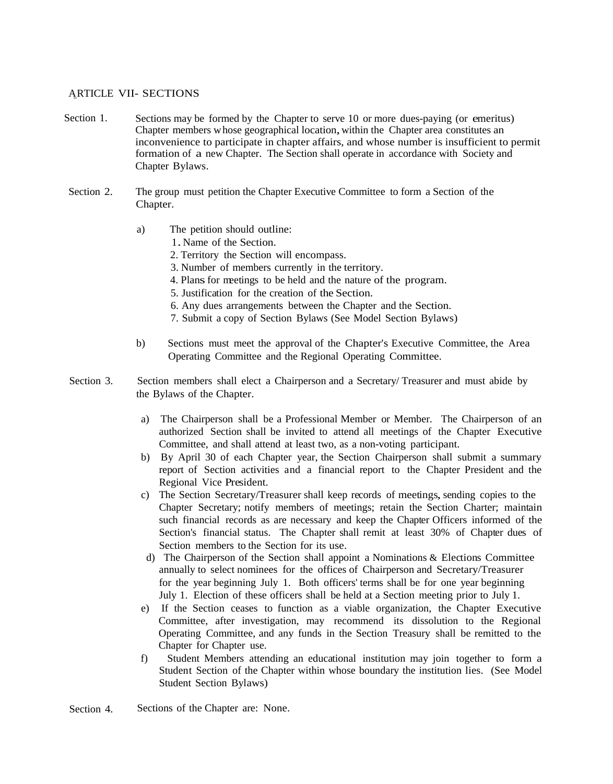### ARTICLE VII- SECTIONS

- Section 1. Sections may be formed by the Chapter to serve 10 or more dues-paying (or emeritus) Chapter members whose geographical location,within the Chapter area constitutes an inconvenience to participate in chapter affairs, and whose number is insufficient to permit formation of a new Chapter. The Section shall operate in accordance with Society and Chapter Bylaws.
- Section 2. The group must petition the Chapter Executive Committee to form a Section of the Chapter.
	- a) The petition should outline:
		- <sup>1</sup>.Name of the Section.
		- 2. Territory the Section will encompass.
		- 3. Number of members currently in the territory.
		- 4. Plans for meetings to be held and the nature of the program.
		- 5. Justification for the creation of the Section.
		- 6. Any dues arrangements between the Chapter and the Section.
		- 7. Submit a copy of Section Bylaws (See Model Section Bylaws)
	- b) Sections must meet the approval of the Chapter's Executive Committee, the Area Operating Committee and the Regional Operating Committee.
- Section 3. Section members shall elect a Chairperson and a Secretary/ Treasurer and must abide by the Bylaws of the Chapter.
	- a) The Chairperson shall be a Professional Member or Member. The Chairperson of an authorized Section shall be invited to attend all meetings of the Chapter Executive Committee, and shall attend at least two, as a non-voting participant.
	- b) By April 30 of each Chapter year, the Section Chairperson shall submit a summary report of Section activities and a financial report to the Chapter President and the Regional Vice President.
	- c) The Section Secretary/Treasurer shall keep records of meetings, sending copies to the Chapter Secretary; notify members of meetings; retain the Section Charter; maintain such financial records as are necessary and keep the Chapter Officers informed of the Section's financial status. The Chapter shall remit at least 30% of Chapter dues of Section members to the Section for its use.
	- d) The Chairperson of the Section shall appoint a Nominations & Elections Committee annually to select nominees for the offices of Chairperson and Secretary/Treasurer for the year beginning July 1. Both officers' terms shall be for one year beginning July 1. Election of these officers shall be held at a Section meeting prior to July 1.
	- e) If the Section ceases to function as a viable organization, the Chapter Executive Committee, after investigation, may recommend its dissolution to the Regional Operating Committee, and any funds in the Section Treasury shall be remitted to the Chapter for Chapter use.
	- f) Student Members attending an educational institution may join together to form a Student Section of the Chapter within whose boundary the institution lies. (See Model Student Section Bylaws)
- Section 4. Sections of the Chapter are: None.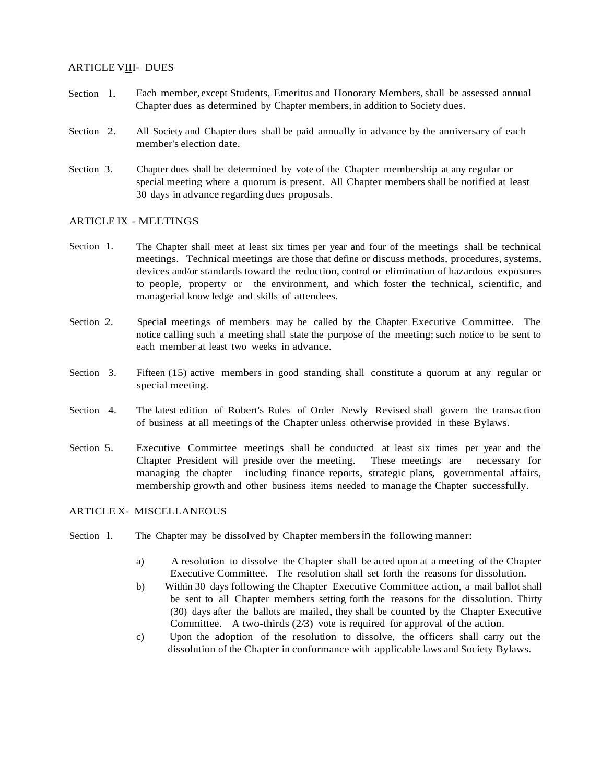#### ARTICLE VIII- DUES

- Section 1. Each member, except Students, Emeritus and Honorary Members, shall be assessed annual Chapter dues as determined by Chapter members, in addition to Society dues.
- Section<sub>2</sub> All Society and Chapter dues shall be paid annually in advance by the anniversary of each member's election date.
- Section 3. Chapter dues shall be determined by vote of the Chapter membership at any regular or special meeting where a quorum is present. All Chapter members shall be notified at least 30 days in advance regarding dues proposals.

#### ARTICLE IX - MEETINGS

- Section 1. The Chapter shall meet at least six times per year and four of the meetings shall be technical meetings. Technical meetings are those that define or discuss methods, procedures, systems, devices and/or standards toward the reduction, control or elimination of hazardous exposures to people, property or the environment, and which foster the technical, scientific, and managerial know ledge and skills of attendees.
- Section 2. Special meetings of members may be called by the Chapter Executive Committee. The notice calling such a meeting shall state the purpose of the meeting; such notice to be sent to each member at least two weeks in advance.
- Section 3. Fifteen (15) active members in good standing shall constitute a quorum at any regular or special meeting.
- Section 4. The latest edition of Robert's Rules of Order Newly Revised shall govern the transaction of business at all meetings of the Chapter unless otherwise provided in these Bylaws.
- Section 5. Executive Committee meetings shall be conducted at least six times per year and the Chapter President will preside over the meeting. These meetings are necessary for managing the chapter including finance reports, strategic plans, governmental affairs, membership growth and other business items needed to manage the Chapter successfully.

# ARTICLE X- MISCELLANEOUS

- Section 1. The Chapter may be dissolved by Chapter members in the following manner:
	- a) A resolution to dissolve the Chapter shall be acted upon at a meeting of the Chapter Executive Committee. The resolution shall set forth the reasons for dissolution.
	- b) Within 30 days following the Chapter Executive Committee action, a mail ballot shall be sent to all Chapter members setting forth the reasons for the dissolution. Thirty (30) days after the ballots are mailed, they shall be counted by the Chapter Executive Committee. A two-thirds (2/3) vote is required for approval of the action.
	- c) Upon the adoption of the resolution to dissolve, the officers shall carry out the dissolution of the Chapter in conformance with applicable laws and Society Bylaws.